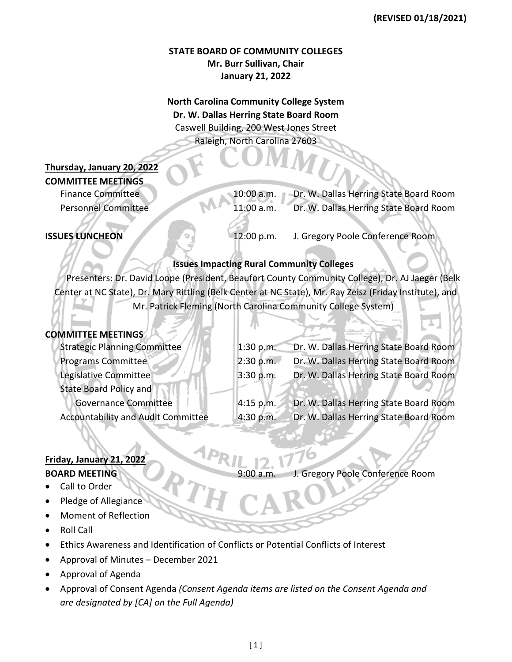## **STATE BOARD OF COMMUNITY COLLEGES Mr. Burr Sullivan, Chair January 21, 2022**

# **North Carolina Community College System Dr. W. Dallas Herring State Board Room** Caswell Building, 200 West Jones Street Raleigh, North Carolina 27603

# **Thursday, January 20, 2022**

**COMMITTEE MEETINGS**

Finance Committee 10:00 a.m. Dr. W. Dallas Herring State Board Room Personnel Committee 11:00 a.m. Dr. W. Dallas Herring State Board Room

**ISSUES LUNCHEON** 12:00 p.m. J. Gregory Poole Conference Room

## **Issues Impacting Rural Community Colleges**

Presenters: Dr. David Loope (President, Beaufort County Community College), Dr. AJ Jaeger (Belk Center at NC State), Dr. Mary Rittling (Belk Center at NC State), Mr. Ray Zeisz (Friday Institute), and Mr. Patrick Fleming (North Carolina Community College System)

## **COMMITTEE MEETINGS**

| <b>Strategic Planning Committee</b>       | 1:30 p.m. | Dr. W. Dallas Herring State Board Room |
|-------------------------------------------|-----------|----------------------------------------|
| <b>Programs Committee</b>                 | 2:30 p.m. | Dr. W. Dallas Herring State Board Room |
| Legislative Committee                     | 3:30 p.m. | Dr. W. Dallas Herring State Board Room |
| <b>State Board Policy and</b>             |           |                                        |
| <b>Governance Committee</b>               | 4:15 p.m. | Dr. W. Dallas Herring State Board Room |
| <b>Accountability and Audit Committee</b> | 4:30 p.m. | Dr. W. Dallas Herring State Board Room |

# **Friday, January 21, 2022**

## **BOARD MEETING** 9:00 a.m. J. Gregory Poole Conference Room

- Call to Order
- Pledge of Allegiance
- Moment of Reflection
- Roll Call
- Ethics Awareness and Identification of Conflicts or Potential Conflicts of Interest
- Approval of Minutes December 2021
- Approval of Agenda
- Approval of Consent Agenda *(Consent Agenda items are listed on the Consent Agenda and are designated by [CA] on the Full Agenda)*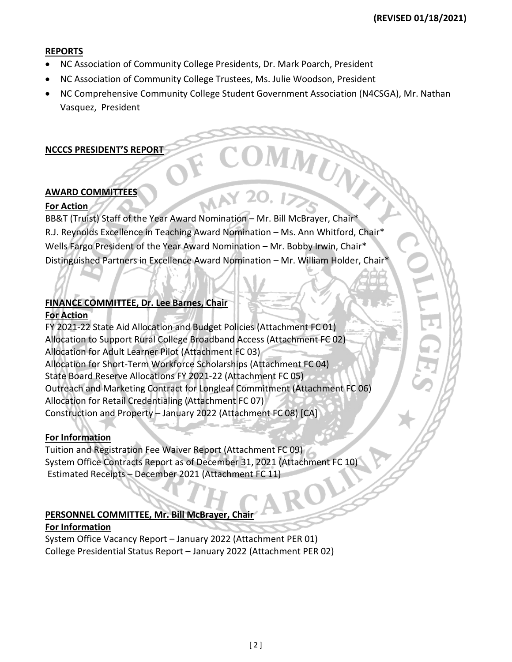#### **REPORTS**

- NC Association of Community College Presidents, Dr. Mark Poarch, President
- NC Association of Community College Trustees, Ms. Julie Woodson, President
- NC Comprehensive Community College Student Government Association (N4CSGA), Mr. Nathan Vasquez, President

#### **NCCCS PRESIDENT'S REPORT**

#### **AWARD COMMITTEES**

#### **For Action**

BB&T (Truist) Staff of the Year Award Nomination – Mr. Bill McBrayer, Chair\* R.J. Reynolds Excellence in Teaching Award Nomination – Ms. Ann Whitford, Chair\* Wells Fargo President of the Year Award Nomination – Mr. Bobby Irwin, Chair\* Distinguished Partners in Excellence Award Nomination – Mr. William Holder, Chair\*

# **FINANCE COMMITTEE, Dr. Lee Barnes, Chair**

## **For Action**

FY 2021-22 State Aid Allocation and Budget Policies (Attachment FC 01) Allocation to Support Rural College Broadband Access (Attachment FC 02) Allocation for Adult Learner Pilot (Attachment FC 03) Allocation for Short-Term Workforce Scholarships (Attachment FC 04) State Board Reserve Allocations FY 2021-22 (Attachment FC 05) Outreach and Marketing Contract for Longleaf Commitment (Attachment FC 06) Allocation for Retail Credentialing (Attachment FC 07) Construction and Property – January 2022 (Attachment FC 08) [CA]

## **For Information**

Tuition and Registration Fee Waiver Report (Attachment FC 09) System Office Contracts Report as of December 31, 2021 (Attachment FC 10) Estimated Receipts – December 2021 (Attachment FC 11)

## **PERSONNEL COMMITTEE, Mr. Bill McBrayer, Chair**

#### **For Information**

System Office Vacancy Report – January 2022 (Attachment PER 01) College Presidential Status Report – January 2022 (Attachment PER 02)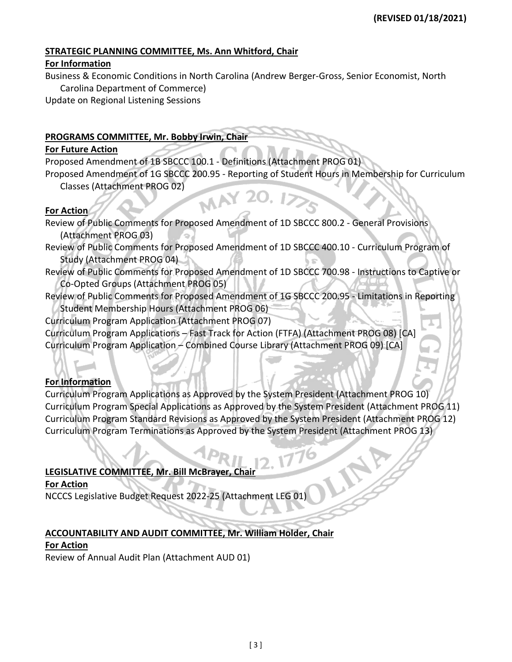# **STRATEGIC PLANNING COMMITTEE, Ms. Ann Whitford, Chair**

#### **For Information**

Business & Economic Conditions in North Carolina (Andrew Berger-Gross, Senior Economist, North Carolina Department of Commerce)

Update on Regional Listening Sessions

## **PROGRAMS COMMITTEE, Mr. Bobby Irwin, Chair**

## **For Future Action**

Proposed Amendment of 1B SBCCC 100.1 - Definitions (Attachment PROG 01)

Proposed Amendment of 1G SBCCC 200.95 - Reporting of Student Hours in Membership for Curriculum Classes (Attachment PROG 02) MAY

## **For Action**

Review of Public Comments for Proposed Amendment of 1D SBCCC 800.2 - General Provisions (Attachment PROG 03)

- Review of Public Comments for Proposed Amendment of 1D SBCCC 400.10 Curriculum Program of Study (Attachment PROG 04)
- Review of Public Comments for Proposed Amendment of 1D SBCCC 700.98 Instructions to Captive or Co-Opted Groups (Attachment PROG 05)

Review of Public Comments for Proposed Amendment of 1G SBCCC 200.95 - Limitations in Reporting Student Membership Hours (Attachment PROG 06)

Curriculum Program Application (Attachment PROG 07)

Curriculum Program Applications – Fast Track for Action (FTFA) (Attachment PROG 08) [CA] Curriculum Program Application – Combined Course Library (Attachment PROG 09) [CA]

# **For Information**

Curriculum Program Applications as Approved by the System President (Attachment PROG 10) Curriculum Program Special Applications as Approved by the System President (Attachment PROG 11) Curriculum Program Standard Revisions as Approved by the System President (Attachment PROG 12) Curriculum Program Terminations as Approved by the System President (Attachment PROG 13)

# **LEGISLATIVE COMMITTEE, Mr. Bill McBrayer, Chair**

**For Action**

NCCCS Legislative Budget Request 2022-25 (Attachment LEG 01)

# **ACCOUNTABILITY AND AUDIT COMMITTEE, Mr. William Holder, Chair**

## **For Action**

Review of Annual Audit Plan (Attachment AUD 01)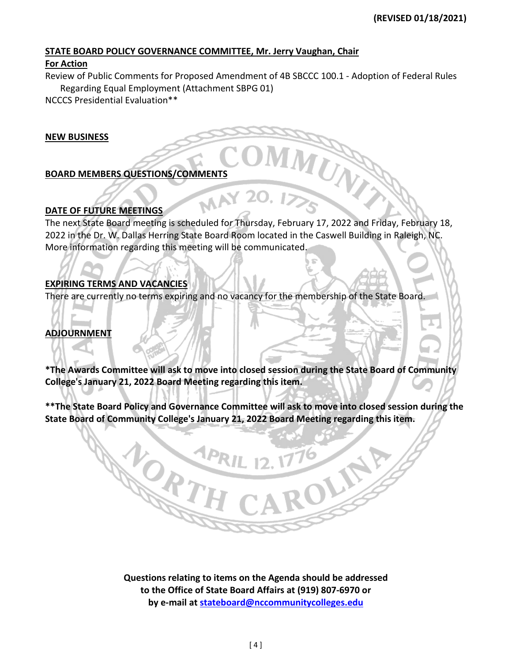## **STATE BOARD POLICY GOVERNANCE COMMITTEE, Mr. Jerry Vaughan, Chair**

#### **For Action**

Review of Public Comments for Proposed Amendment of 4B SBCCC 100.1 - Adoption of Federal Rules Regarding Equal Employment (Attachment SBPG 01)

NCCCS Presidential Evaluation\*\*

#### **NEW BUSINESS**

## **BOARD MEMBERS QUESTIONS/COMMENTS**

#### **DATE OF FUTURE MEETINGS**

The next State Board meeting is scheduled for Thursday, February 17, 2022 and Friday, February 18, 2022 in the Dr. W. Dallas Herring State Board Room located in the Caswell Building in Raleigh, NC. More information regarding this meeting will be communicated.

#### **EXPIRING TERMS AND VACANCIES**

NORTH

There are currently no terms expiring and no vacancy for the membership of the State Board.

**MAY 20** 

# **ADJOURNMENT**

**\*The Awards Committee will ask to move into closed session during the State Board of Community College's January 21, 2022 Board Meeting regarding this item.**

**\*\*The State Board Policy and Governance Committee will ask to move into closed session during the State Board of Community College's January 21, 2022 Board Meeting regarding this item.**

OLIN

**Questions relating to items on the Agenda should be addressed to the Office of State Board Affairs at (919) 807-6970 or by e-mail at [stateboard@nccommunitycolleges.edu](mailto:stateboard@nccommunitycolleges.edu)**